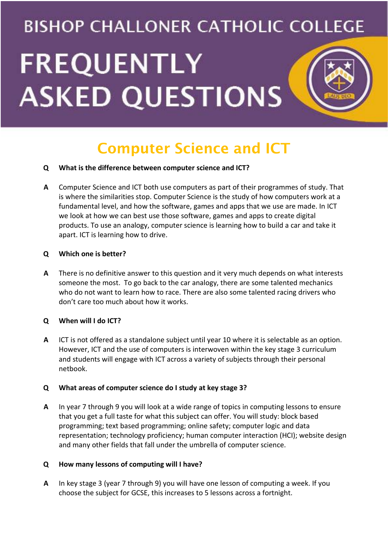# **BISHOP CHALLONER CATHOLIC COLLEGE FREQUENTLY ASKED QUESTIONS**

# Computer Science and ICT

# **Q What is the difference between computer science and ICT?**

**A** Computer Science and ICT both use computers as part of their programmes of study. That is where the similarities stop. Computer Science is the study of how computers work at a fundamental level, and how the software, games and apps that we use are made. In ICT we look at how we can best use those software, games and apps to create digital products. To use an analogy, computer science is learning how to build a car and take it apart. ICT is learning how to drive.

#### **Q Which one is better?**

**A** There is no definitive answer to this question and it very much depends on what interests someone the most. To go back to the car analogy, there are some talented mechanics who do not want to learn how to race. There are also some talented racing drivers who don't care too much about how it works.

# **Q When will I do ICT?**

**A** ICT is not offered as a standalone subject until year 10 where it is selectable as an option. However, ICT and the use of computers is interwoven within the key stage 3 curriculum and students will engage with ICT across a variety of subjects through their personal netbook.

# **Q What areas of computer science do I study at key stage 3?**

**A** In year 7 through 9 you will look at a wide range of topics in computing lessons to ensure that you get a full taste for what this subject can offer. You will study: block based programming; text based programming; online safety; computer logic and data representation; technology proficiency; human computer interaction (HCI); website design and many other fields that fall under the umbrella of computer science.

# **Q How many lessons of computing will I have?**

**A** In key stage 3 (year 7 through 9) you will have one lesson of computing a week. If you choose the subject for GCSE, this increases to 5 lessons across a fortnight.